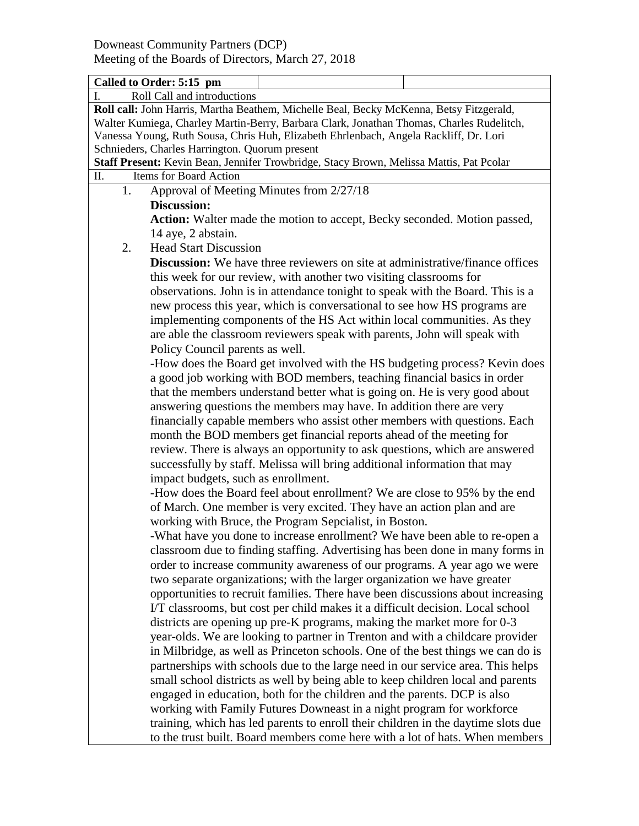|                                                                                          | Called to Order: 5:15 pm                                                             |  |  |  |
|------------------------------------------------------------------------------------------|--------------------------------------------------------------------------------------|--|--|--|
|                                                                                          | Roll Call and introductions                                                          |  |  |  |
| Roll call: John Harris, Martha Beathem, Michelle Beal, Becky McKenna, Betsy Fitzgerald,  |                                                                                      |  |  |  |
| Walter Kumiega, Charley Martin-Berry, Barbara Clark, Jonathan Thomas, Charles Rudelitch, |                                                                                      |  |  |  |
| Vanessa Young, Ruth Sousa, Chris Huh, Elizabeth Ehrlenbach, Angela Rackliff, Dr. Lori    |                                                                                      |  |  |  |
| Schnieders, Charles Harrington. Quorum present                                           |                                                                                      |  |  |  |
| Staff Present: Kevin Bean, Jennifer Trowbridge, Stacy Brown, Melissa Mattis, Pat Pcolar  |                                                                                      |  |  |  |
| Items for Board Action<br>Π.                                                             |                                                                                      |  |  |  |
| 1.                                                                                       | Approval of Meeting Minutes from 2/27/18                                             |  |  |  |
|                                                                                          | <b>Discussion:</b>                                                                   |  |  |  |
|                                                                                          | Action: Walter made the motion to accept, Becky seconded. Motion passed,             |  |  |  |
|                                                                                          | 14 aye, 2 abstain.                                                                   |  |  |  |
| 2.                                                                                       | <b>Head Start Discussion</b>                                                         |  |  |  |
|                                                                                          | <b>Discussion:</b> We have three reviewers on site at administrative/finance offices |  |  |  |
|                                                                                          | this week for our review, with another two visiting classrooms for                   |  |  |  |
|                                                                                          | observations. John is in attendance tonight to speak with the Board. This is a       |  |  |  |
|                                                                                          |                                                                                      |  |  |  |
|                                                                                          | new process this year, which is conversational to see how HS programs are            |  |  |  |
|                                                                                          | implementing components of the HS Act within local communities. As they              |  |  |  |
|                                                                                          | are able the classroom reviewers speak with parents, John will speak with            |  |  |  |
|                                                                                          | Policy Council parents as well.                                                      |  |  |  |
|                                                                                          | -How does the Board get involved with the HS budgeting process? Kevin does           |  |  |  |
|                                                                                          | a good job working with BOD members, teaching financial basics in order              |  |  |  |
|                                                                                          | that the members understand better what is going on. He is very good about           |  |  |  |
|                                                                                          | answering questions the members may have. In addition there are very                 |  |  |  |
|                                                                                          | financially capable members who assist other members with questions. Each            |  |  |  |
|                                                                                          | month the BOD members get financial reports ahead of the meeting for                 |  |  |  |
|                                                                                          | review. There is always an opportunity to ask questions, which are answered          |  |  |  |
|                                                                                          | successfully by staff. Melissa will bring additional information that may            |  |  |  |
|                                                                                          | impact budgets, such as enrollment.                                                  |  |  |  |
|                                                                                          | -How does the Board feel about enrollment? We are close to 95% by the end            |  |  |  |
|                                                                                          | of March. One member is very excited. They have an action plan and are               |  |  |  |
|                                                                                          | working with Bruce, the Program Sepcialist, in Boston.                               |  |  |  |
|                                                                                          | -What have you done to increase enrollment? We have been able to re-open a           |  |  |  |
|                                                                                          | classroom due to finding staffing. Advertising has been done in many forms in        |  |  |  |
|                                                                                          |                                                                                      |  |  |  |
|                                                                                          | order to increase community awareness of our programs. A year ago we were            |  |  |  |
|                                                                                          | two separate organizations; with the larger organization we have greater             |  |  |  |
|                                                                                          | opportunities to recruit families. There have been discussions about increasing      |  |  |  |
|                                                                                          | I/T classrooms, but cost per child makes it a difficult decision. Local school       |  |  |  |
|                                                                                          | districts are opening up pre-K programs, making the market more for 0-3              |  |  |  |
|                                                                                          | year-olds. We are looking to partner in Trenton and with a childcare provider        |  |  |  |
|                                                                                          | in Milbridge, as well as Princeton schools. One of the best things we can do is      |  |  |  |
|                                                                                          | partnerships with schools due to the large need in our service area. This helps      |  |  |  |
|                                                                                          | small school districts as well by being able to keep children local and parents      |  |  |  |
|                                                                                          | engaged in education, both for the children and the parents. DCP is also             |  |  |  |
|                                                                                          | working with Family Futures Downeast in a night program for workforce                |  |  |  |
|                                                                                          | training, which has led parents to enroll their children in the daytime slots due    |  |  |  |
|                                                                                          | to the trust built. Board members come here with a lot of hats. When members         |  |  |  |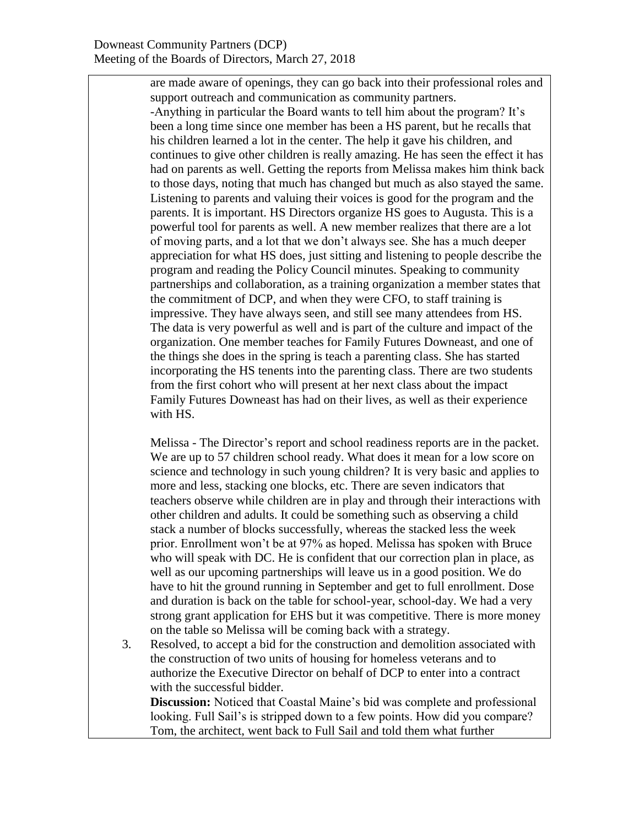are made aware of openings, they can go back into their professional roles and support outreach and communication as community partners. -Anything in particular the Board wants to tell him about the program? It's been a long time since one member has been a HS parent, but he recalls that his children learned a lot in the center. The help it gave his children, and continues to give other children is really amazing. He has seen the effect it has had on parents as well. Getting the reports from Melissa makes him think back to those days, noting that much has changed but much as also stayed the same. Listening to parents and valuing their voices is good for the program and the parents. It is important. HS Directors organize HS goes to Augusta. This is a powerful tool for parents as well. A new member realizes that there are a lot of moving parts, and a lot that we don't always see. She has a much deeper appreciation for what HS does, just sitting and listening to people describe the program and reading the Policy Council minutes. Speaking to community partnerships and collaboration, as a training organization a member states that the commitment of DCP, and when they were CFO, to staff training is impressive. They have always seen, and still see many attendees from HS. The data is very powerful as well and is part of the culture and impact of the organization. One member teaches for Family Futures Downeast, and one of the things she does in the spring is teach a parenting class. She has started incorporating the HS tenents into the parenting class. There are two students from the first cohort who will present at her next class about the impact Family Futures Downeast has had on their lives, as well as their experience with HS.

Melissa - The Director's report and school readiness reports are in the packet. We are up to 57 children school ready. What does it mean for a low score on science and technology in such young children? It is very basic and applies to more and less, stacking one blocks, etc. There are seven indicators that teachers observe while children are in play and through their interactions with other children and adults. It could be something such as observing a child stack a number of blocks successfully, whereas the stacked less the week prior. Enrollment won't be at 97% as hoped. Melissa has spoken with Bruce who will speak with DC. He is confident that our correction plan in place, as well as our upcoming partnerships will leave us in a good position. We do have to hit the ground running in September and get to full enrollment. Dose and duration is back on the table for school-year, school-day. We had a very strong grant application for EHS but it was competitive. There is more money on the table so Melissa will be coming back with a strategy.

3. Resolved, to accept a bid for the construction and demolition associated with the construction of two units of housing for homeless veterans and to authorize the Executive Director on behalf of DCP to enter into a contract with the successful bidder.

**Discussion:** Noticed that Coastal Maine's bid was complete and professional looking. Full Sail's is stripped down to a few points. How did you compare? Tom, the architect, went back to Full Sail and told them what further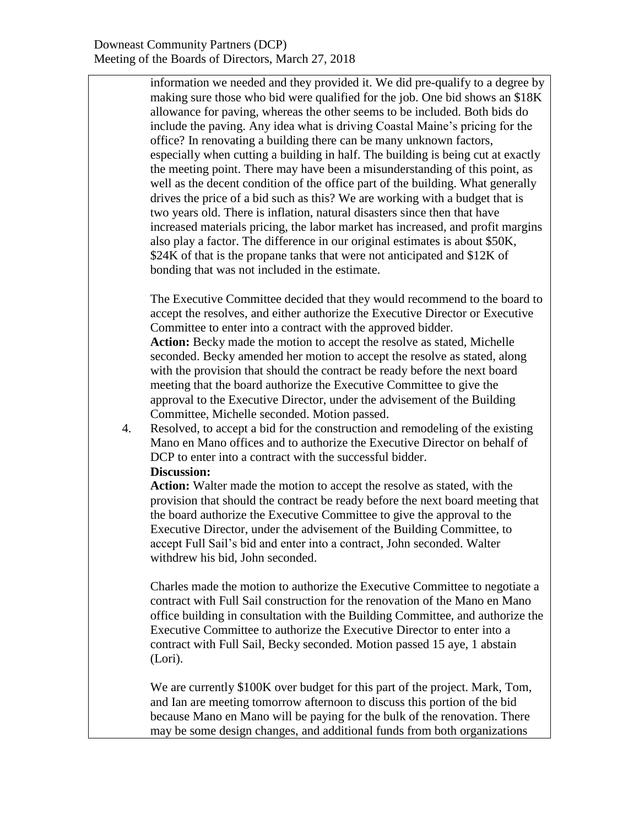information we needed and they provided it. We did pre-qualify to a degree by making sure those who bid were qualified for the job. One bid shows an \$18K allowance for paving, whereas the other seems to be included. Both bids do include the paving. Any idea what is driving Coastal Maine's pricing for the office? In renovating a building there can be many unknown factors, especially when cutting a building in half. The building is being cut at exactly the meeting point. There may have been a misunderstanding of this point, as well as the decent condition of the office part of the building. What generally drives the price of a bid such as this? We are working with a budget that is two years old. There is inflation, natural disasters since then that have increased materials pricing, the labor market has increased, and profit margins also play a factor. The difference in our original estimates is about \$50K, \$24K of that is the propane tanks that were not anticipated and \$12K of bonding that was not included in the estimate.

The Executive Committee decided that they would recommend to the board to accept the resolves, and either authorize the Executive Director or Executive Committee to enter into a contract with the approved bidder. **Action:** Becky made the motion to accept the resolve as stated, Michelle seconded. Becky amended her motion to accept the resolve as stated, along with the provision that should the contract be ready before the next board meeting that the board authorize the Executive Committee to give the approval to the Executive Director, under the advisement of the Building Committee, Michelle seconded. Motion passed.

4. Resolved, to accept a bid for the construction and remodeling of the existing Mano en Mano offices and to authorize the Executive Director on behalf of DCP to enter into a contract with the successful bidder. **Discussion:**

**Action:** Walter made the motion to accept the resolve as stated, with the provision that should the contract be ready before the next board meeting that the board authorize the Executive Committee to give the approval to the Executive Director, under the advisement of the Building Committee, to accept Full Sail's bid and enter into a contract, John seconded. Walter withdrew his bid, John seconded.

Charles made the motion to authorize the Executive Committee to negotiate a contract with Full Sail construction for the renovation of the Mano en Mano office building in consultation with the Building Committee, and authorize the Executive Committee to authorize the Executive Director to enter into a contract with Full Sail, Becky seconded. Motion passed 15 aye, 1 abstain (Lori).

We are currently \$100K over budget for this part of the project. Mark, Tom, and Ian are meeting tomorrow afternoon to discuss this portion of the bid because Mano en Mano will be paying for the bulk of the renovation. There may be some design changes, and additional funds from both organizations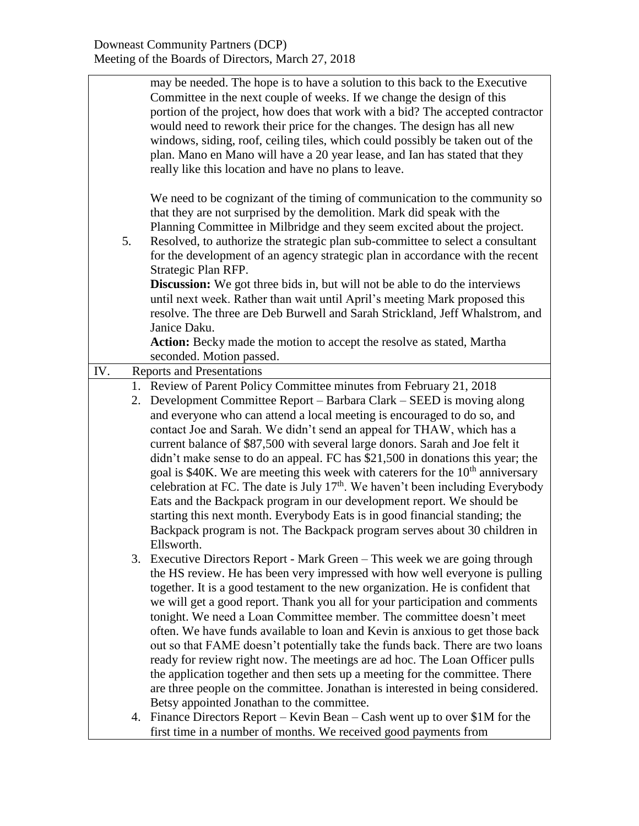|                          | may be needed. The hope is to have a solution to this back to the Executive                          |  |  |
|--------------------------|------------------------------------------------------------------------------------------------------|--|--|
|                          | Committee in the next couple of weeks. If we change the design of this                               |  |  |
|                          | portion of the project, how does that work with a bid? The accepted contractor                       |  |  |
|                          | would need to rework their price for the changes. The design has all new                             |  |  |
|                          |                                                                                                      |  |  |
|                          | windows, siding, roof, ceiling tiles, which could possibly be taken out of the                       |  |  |
|                          | plan. Mano en Mano will have a 20 year lease, and Ian has stated that they                           |  |  |
|                          | really like this location and have no plans to leave.                                                |  |  |
|                          | We need to be cognizant of the timing of communication to the community so                           |  |  |
|                          | that they are not surprised by the demolition. Mark did speak with the                               |  |  |
|                          | Planning Committee in Milbridge and they seem excited about the project.                             |  |  |
| 5.                       |                                                                                                      |  |  |
|                          | Resolved, to authorize the strategic plan sub-committee to select a consultant                       |  |  |
|                          | for the development of an agency strategic plan in accordance with the recent<br>Strategic Plan RFP. |  |  |
|                          | <b>Discussion:</b> We got three bids in, but will not be able to do the interviews                   |  |  |
|                          | until next week. Rather than wait until April's meeting Mark proposed this                           |  |  |
|                          |                                                                                                      |  |  |
|                          | resolve. The three are Deb Burwell and Sarah Strickland, Jeff Whalstrom, and                         |  |  |
|                          | Janice Daku.                                                                                         |  |  |
|                          | Action: Becky made the motion to accept the resolve as stated, Martha                                |  |  |
| seconded. Motion passed. |                                                                                                      |  |  |
| IV.                      | <b>Reports and Presentations</b>                                                                     |  |  |
|                          | 1. Review of Parent Policy Committee minutes from February 21, 2018                                  |  |  |
|                          | 2. Development Committee Report – Barbara Clark – SEED is moving along                               |  |  |
|                          | and everyone who can attend a local meeting is encouraged to do so, and                              |  |  |
|                          | contact Joe and Sarah. We didn't send an appeal for THAW, which has a                                |  |  |
|                          | current balance of \$87,500 with several large donors. Sarah and Joe felt it                         |  |  |
|                          | didn't make sense to do an appeal. FC has \$21,500 in donations this year; the                       |  |  |
|                          | goal is \$40K. We are meeting this week with caterers for the $10th$ anniversary                     |  |  |
|                          | celebration at FC. The date is July $17th$ . We haven't been including Everybody                     |  |  |
|                          | Eats and the Backpack program in our development report. We should be                                |  |  |
|                          | starting this next month. Everybody Eats is in good financial standing; the                          |  |  |
|                          | Backpack program is not. The Backpack program serves about 30 children in                            |  |  |
|                          | Ellsworth.                                                                                           |  |  |
|                          | 3. Executive Directors Report - Mark Green - This week we are going through                          |  |  |
|                          | the HS review. He has been very impressed with how well everyone is pulling                          |  |  |
|                          | together. It is a good testament to the new organization. He is confident that                       |  |  |
|                          | we will get a good report. Thank you all for your participation and comments                         |  |  |
|                          | tonight. We need a Loan Committee member. The committee doesn't meet                                 |  |  |
|                          | often. We have funds available to loan and Kevin is anxious to get those back                        |  |  |
|                          | out so that FAME doesn't potentially take the funds back. There are two loans                        |  |  |
|                          | ready for review right now. The meetings are ad hoc. The Loan Officer pulls                          |  |  |
|                          | the application together and then sets up a meeting for the committee. There                         |  |  |
|                          | are three people on the committee. Jonathan is interested in being considered.                       |  |  |
|                          | Betsy appointed Jonathan to the committee.                                                           |  |  |
|                          | 4. Finance Directors Report – Kevin Bean – Cash went up to over \$1M for the                         |  |  |
|                          |                                                                                                      |  |  |
|                          | first time in a number of months. We received good payments from                                     |  |  |